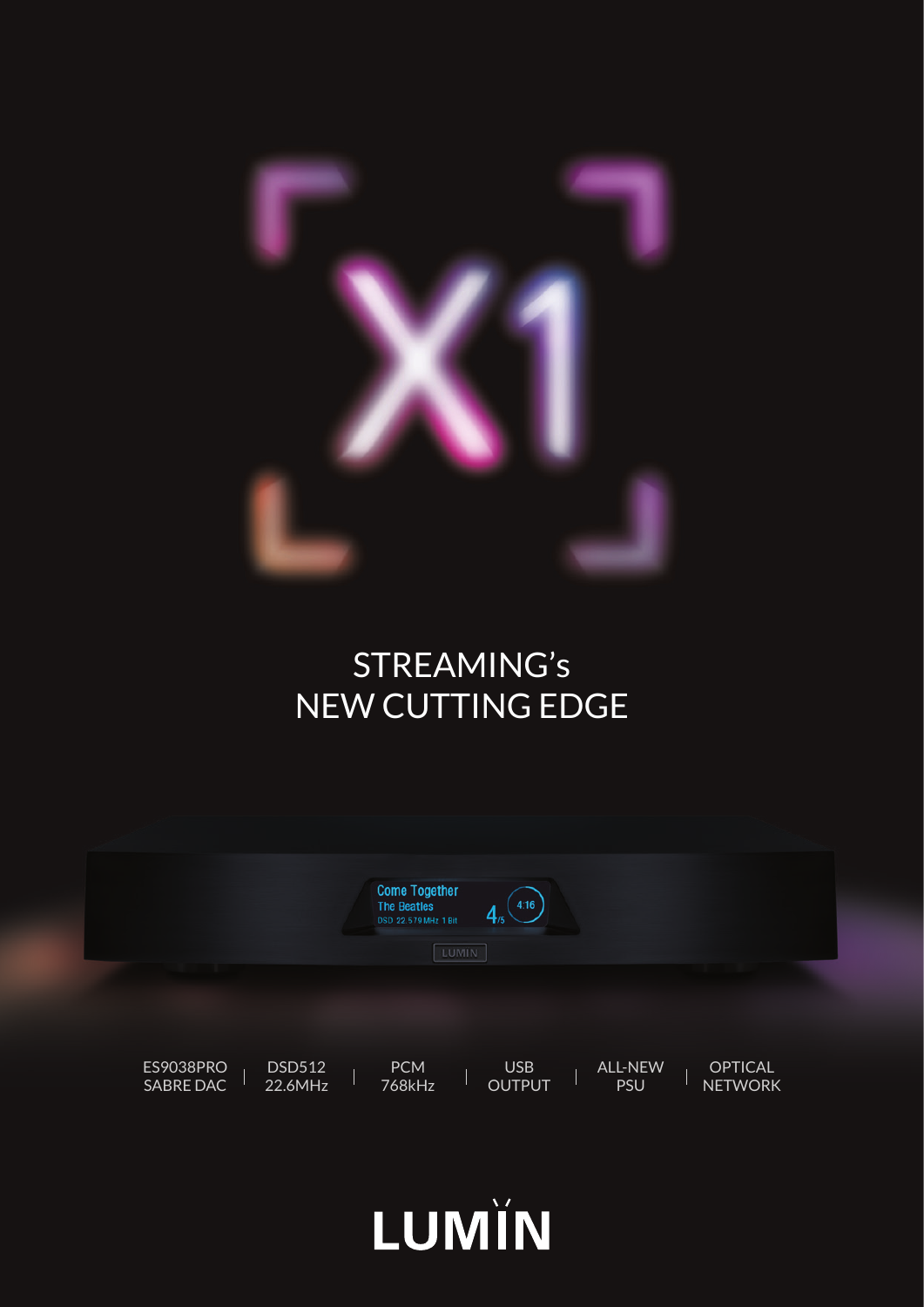

### STREAMING's NEW CUTTING EDGE